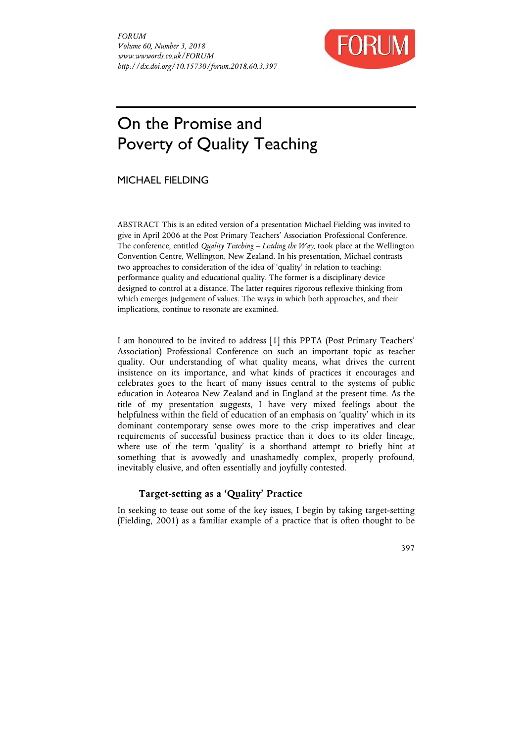

# On the Promise and Poverty of Quality Teaching

MICHAEL FIELDING

ABSTRACT This is an edited version of a presentation Michael Fielding was invited to give in April 2006 at the Post Primary Teachers' Association Professional Conference. The conference, entitled *Quality Teaching – Leading the Way*, took place at the Wellington Convention Centre, Wellington, New Zealand. In his presentation, Michael contrasts two approaches to consideration of the idea of 'quality' in relation to teaching: performance quality and educational quality. The former is a disciplinary device designed to control at a distance. The latter requires rigorous reflexive thinking from which emerges judgement of values. The ways in which both approaches, and their implications, continue to resonate are examined.

I am honoured to be invited to address [1] this PPTA (Post Primary Teachers' Association) Professional Conference on such an important topic as teacher quality. Our understanding of what quality means, what drives the current insistence on its importance, and what kinds of practices it encourages and celebrates goes to the heart of many issues central to the systems of public education in Aotearoa New Zealand and in England at the present time. As the title of my presentation suggests, I have very mixed feelings about the helpfulness within the field of education of an emphasis on 'quality' which in its dominant contemporary sense owes more to the crisp imperatives and clear requirements of successful business practice than it does to its older lineage, where use of the term 'quality' is a shorthand attempt to briefly hint at something that is avowedly and unashamedly complex, properly profound, inevitably elusive, and often essentially and joyfully contested.

# **Target-setting as a 'Quality' Practice**

In seeking to tease out some of the key issues, I begin by taking target-setting (Fielding, 2001) as a familiar example of a practice that is often thought to be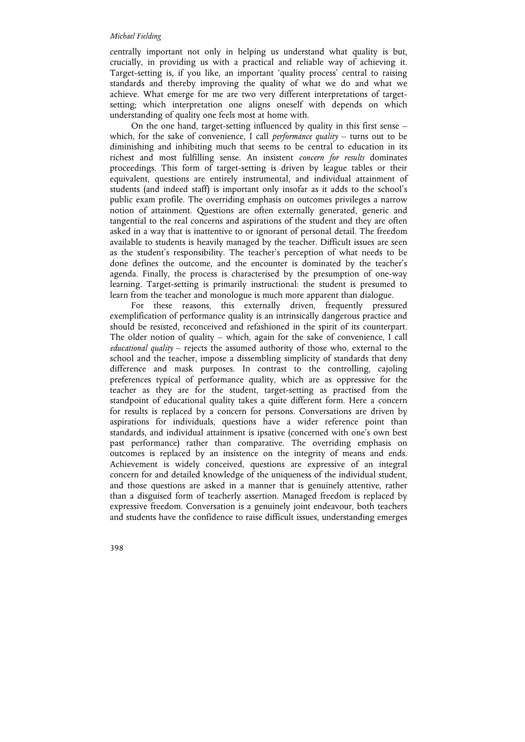centrally important not only in helping us understand what quality is but, crucially, in providing us with a practical and reliable way of achieving it. Target-setting is, if you like, an important 'quality process' central to raising standards and thereby improving the quality of what we do and what we achieve. What emerge for me are two very different interpretations of targetsetting; which interpretation one aligns oneself with depends on which understanding of quality one feels most at home with.

On the one hand, target-setting influenced by quality in this first sense – which, for the sake of convenience, I call *performance quality* – turns out to be diminishing and inhibiting much that seems to be central to education in its richest and most fulfilling sense. An insistent *concern for results* dominates proceedings. This form of target-setting is driven by league tables or their equivalent, questions are entirely instrumental, and individual attainment of students (and indeed staff) is important only insofar as it adds to the school's public exam profile. The overriding emphasis on outcomes privileges a narrow notion of attainment. Questions are often externally generated, generic and tangential to the real concerns and aspirations of the student and they are often asked in a way that is inattentive to or ignorant of personal detail. The freedom available to students is heavily managed by the teacher. Difficult issues are seen as the student's responsibility. The teacher's perception of what needs to be done defines the outcome, and the encounter is dominated by the teacher's agenda. Finally, the process is characterised by the presumption of one-way learning. Target-setting is primarily instructional: the student is presumed to learn from the teacher and monologue is much more apparent than dialogue.

For these reasons, this externally driven, frequently pressured exemplification of performance quality is an intrinsically dangerous practice and should be resisted, reconceived and refashioned in the spirit of its counterpart. The older notion of quality – which, again for the sake of convenience, I call *educational quality* – rejects the assumed authority of those who, external to the school and the teacher, impose a dissembling simplicity of standards that deny difference and mask purposes. In contrast to the controlling, cajoling preferences typical of performance quality, which are as oppressive for the teacher as they are for the student, target-setting as practised from the standpoint of educational quality takes a quite different form. Here a concern for results is replaced by a concern for persons. Conversations are driven by aspirations for individuals, questions have a wider reference point than standards, and individual attainment is ipsative (concerned with one's own best past performance) rather than comparative. The overriding emphasis on outcomes is replaced by an insistence on the integrity of means and ends. Achievement is widely conceived, questions are expressive of an integral concern for and detailed knowledge of the uniqueness of the individual student, and those questions are asked in a manner that is genuinely attentive, rather than a disguised form of teacherly assertion. Managed freedom is replaced by expressive freedom. Conversation is a genuinely joint endeavour, both teachers and students have the confidence to raise difficult issues, understanding emerges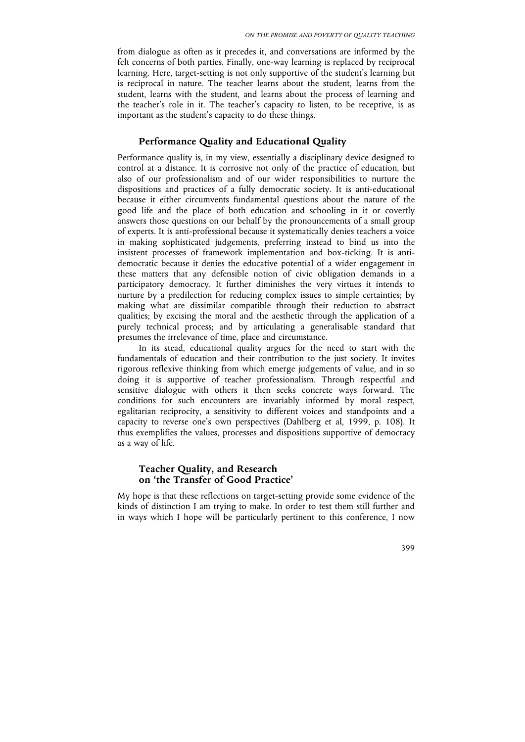from dialogue as often as it precedes it, and conversations are informed by the felt concerns of both parties. Finally, one-way learning is replaced by reciprocal learning. Here, target-setting is not only supportive of the student's learning but is reciprocal in nature. The teacher learns about the student, learns from the student, learns with the student, and learns about the process of learning and the teacher's role in it. The teacher's capacity to listen, to be receptive, is as important as the student's capacity to do these things.

# **Performance Quality and Educational Quality**

Performance quality is, in my view, essentially a disciplinary device designed to control at a distance. It is corrosive not only of the practice of education, but also of our professionalism and of our wider responsibilities to nurture the dispositions and practices of a fully democratic society. It is anti-educational because it either circumvents fundamental questions about the nature of the good life and the place of both education and schooling in it or covertly answers those questions on our behalf by the pronouncements of a small group of experts. It is anti-professional because it systematically denies teachers a voice in making sophisticated judgements, preferring instead to bind us into the insistent processes of framework implementation and box-ticking. It is antidemocratic because it denies the educative potential of a wider engagement in these matters that any defensible notion of civic obligation demands in a participatory democracy. It further diminishes the very virtues it intends to nurture by a predilection for reducing complex issues to simple certainties; by making what are dissimilar compatible through their reduction to abstract qualities; by excising the moral and the aesthetic through the application of a purely technical process; and by articulating a generalisable standard that presumes the irrelevance of time, place and circumstance.

In its stead, educational quality argues for the need to start with the fundamentals of education and their contribution to the just society. It invites rigorous reflexive thinking from which emerge judgements of value, and in so doing it is supportive of teacher professionalism. Through respectful and sensitive dialogue with others it then seeks concrete ways forward. The conditions for such encounters are invariably informed by moral respect, egalitarian reciprocity, a sensitivity to different voices and standpoints and a capacity to reverse one's own perspectives (Dahlberg et al, 1999, p. 108). It thus exemplifies the values, processes and dispositions supportive of democracy as a way of life.

# **Teacher Quality, and Research on 'the Transfer of Good Practice'**

My hope is that these reflections on target-setting provide some evidence of the kinds of distinction I am trying to make. In order to test them still further and in ways which I hope will be particularly pertinent to this conference, I now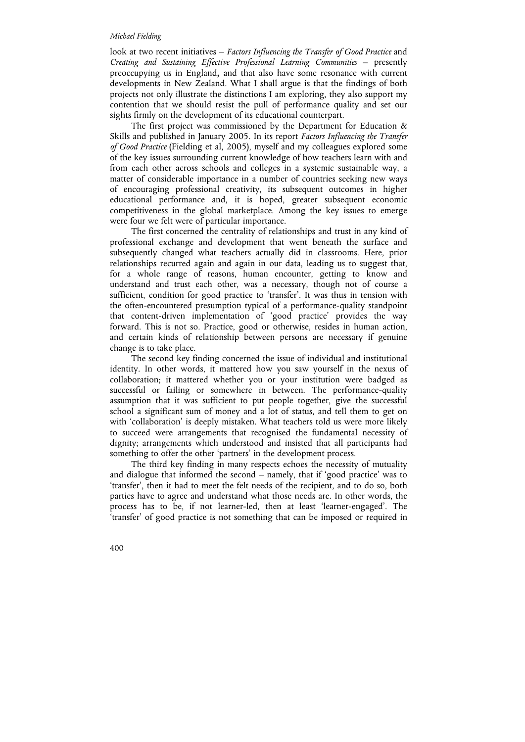look at two recent initiatives – *Factors Influencing the Transfer of Good Practice* and *Creating and Sustaining Effective Professional Learning Communities* – presently preoccupying us in England**,** and that also have some resonance with current developments in New Zealand. What I shall argue is that the findings of both projects not only illustrate the distinctions I am exploring, they also support my contention that we should resist the pull of performance quality and set our sights firmly on the development of its educational counterpart.

The first project was commissioned by the Department for Education  $\alpha$ Skills and published in January 2005. In its report *Factors Influencing the Transfer of Good Practice* (Fielding et al, 2005), myself and my colleagues explored some of the key issues surrounding current knowledge of how teachers learn with and from each other across schools and colleges in a systemic sustainable way, a matter of considerable importance in a number of countries seeking new ways of encouraging professional creativity, its subsequent outcomes in higher educational performance and, it is hoped, greater subsequent economic competitiveness in the global marketplace. Among the key issues to emerge were four we felt were of particular importance.

The first concerned the centrality of relationships and trust in any kind of professional exchange and development that went beneath the surface and subsequently changed what teachers actually did in classrooms. Here, prior relationships recurred again and again in our data, leading us to suggest that, for a whole range of reasons, human encounter, getting to know and understand and trust each other, was a necessary, though not of course a sufficient, condition for good practice to 'transfer'. It was thus in tension with the often-encountered presumption typical of a performance-quality standpoint that content-driven implementation of 'good practice' provides the way forward. This is not so. Practice, good or otherwise, resides in human action, and certain kinds of relationship between persons are necessary if genuine change is to take place.

The second key finding concerned the issue of individual and institutional identity. In other words, it mattered how you saw yourself in the nexus of collaboration; it mattered whether you or your institution were badged as successful or failing or somewhere in between. The performance-quality assumption that it was sufficient to put people together, give the successful school a significant sum of money and a lot of status, and tell them to get on with 'collaboration' is deeply mistaken. What teachers told us were more likely to succeed were arrangements that recognised the fundamental necessity of dignity; arrangements which understood and insisted that all participants had something to offer the other 'partners' in the development process.

The third key finding in many respects echoes the necessity of mutuality and dialogue that informed the second – namely, that if 'good practice' was to 'transfer', then it had to meet the felt needs of the recipient, and to do so, both parties have to agree and understand what those needs are. In other words, the process has to be, if not learner-led, then at least 'learner-engaged'. The 'transfer' of good practice is not something that can be imposed or required in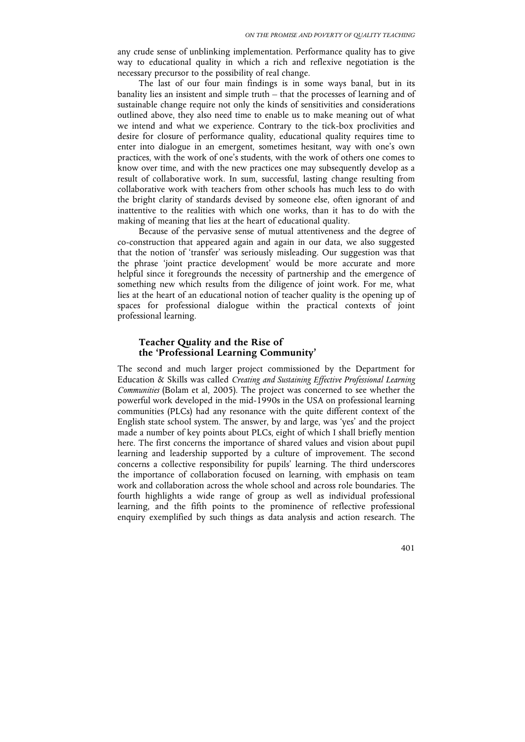any crude sense of unblinking implementation. Performance quality has to give way to educational quality in which a rich and reflexive negotiation is the necessary precursor to the possibility of real change.

The last of our four main findings is in some ways banal, but in its banality lies an insistent and simple truth – that the processes of learning and of sustainable change require not only the kinds of sensitivities and considerations outlined above, they also need time to enable us to make meaning out of what we intend and what we experience. Contrary to the tick-box proclivities and desire for closure of performance quality, educational quality requires time to enter into dialogue in an emergent, sometimes hesitant, way with one's own practices, with the work of one's students, with the work of others one comes to know over time, and with the new practices one may subsequently develop as a result of collaborative work. In sum, successful, lasting change resulting from collaborative work with teachers from other schools has much less to do with the bright clarity of standards devised by someone else, often ignorant of and inattentive to the realities with which one works, than it has to do with the making of meaning that lies at the heart of educational quality.

Because of the pervasive sense of mutual attentiveness and the degree of co-construction that appeared again and again in our data, we also suggested that the notion of 'transfer' was seriously misleading. Our suggestion was that the phrase 'joint practice development' would be more accurate and more helpful since it foregrounds the necessity of partnership and the emergence of something new which results from the diligence of joint work. For me, what lies at the heart of an educational notion of teacher quality is the opening up of spaces for professional dialogue within the practical contexts of joint professional learning.

## **Teacher Quality and the Rise of the 'Professional Learning Community'**

The second and much larger project commissioned by the Department for Education & Skills was called *Creating and Sustaining Effective Professional Learning Communities* (Bolam et al, 2005). The project was concerned to see whether the powerful work developed in the mid-1990s in the USA on professional learning communities (PLCs) had any resonance with the quite different context of the English state school system. The answer, by and large, was 'yes' and the project made a number of key points about PLCs, eight of which I shall briefly mention here. The first concerns the importance of shared values and vision about pupil learning and leadership supported by a culture of improvement. The second concerns a collective responsibility for pupils' learning. The third underscores the importance of collaboration focused on learning, with emphasis on team work and collaboration across the whole school and across role boundaries. The fourth highlights a wide range of group as well as individual professional learning, and the fifth points to the prominence of reflective professional enquiry exemplified by such things as data analysis and action research. The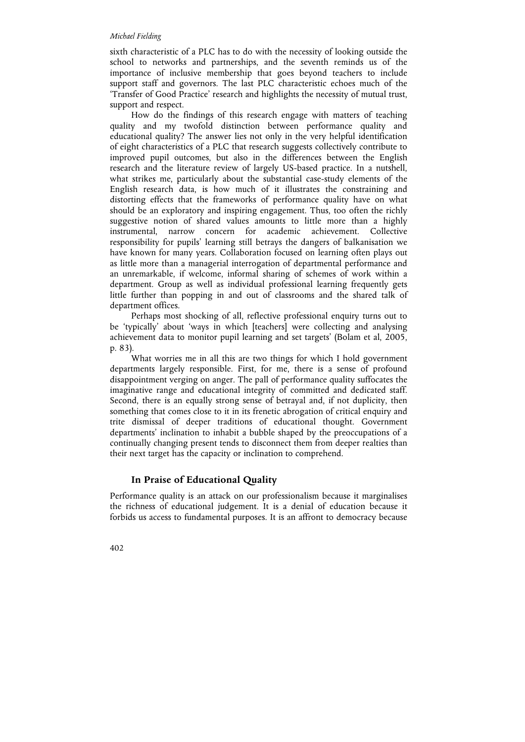sixth characteristic of a PLC has to do with the necessity of looking outside the school to networks and partnerships, and the seventh reminds us of the importance of inclusive membership that goes beyond teachers to include support staff and governors. The last PLC characteristic echoes much of the 'Transfer of Good Practice' research and highlights the necessity of mutual trust, support and respect.

How do the findings of this research engage with matters of teaching quality and my twofold distinction between performance quality and educational quality? The answer lies not only in the very helpful identification of eight characteristics of a PLC that research suggests collectively contribute to improved pupil outcomes, but also in the differences between the English research and the literature review of largely US-based practice. In a nutshell, what strikes me, particularly about the substantial case-study elements of the English research data, is how much of it illustrates the constraining and distorting effects that the frameworks of performance quality have on what should be an exploratory and inspiring engagement. Thus, too often the richly suggestive notion of shared values amounts to little more than a highly instrumental, narrow concern for academic achievement. Collective responsibility for pupils' learning still betrays the dangers of balkanisation we have known for many years. Collaboration focused on learning often plays out as little more than a managerial interrogation of departmental performance and an unremarkable, if welcome, informal sharing of schemes of work within a department. Group as well as individual professional learning frequently gets little further than popping in and out of classrooms and the shared talk of department offices.

Perhaps most shocking of all, reflective professional enquiry turns out to be 'typically' about 'ways in which [teachers] were collecting and analysing achievement data to monitor pupil learning and set targets' (Bolam et al, 2005, p. 83).

What worries me in all this are two things for which I hold government departments largely responsible. First, for me, there is a sense of profound disappointment verging on anger. The pall of performance quality suffocates the imaginative range and educational integrity of committed and dedicated staff. Second, there is an equally strong sense of betrayal and, if not duplicity, then something that comes close to it in its frenetic abrogation of critical enquiry and trite dismissal of deeper traditions of educational thought. Government departments' inclination to inhabit a bubble shaped by the preoccupations of a continually changing present tends to disconnect them from deeper realties than their next target has the capacity or inclination to comprehend.

## **In Praise of Educational Quality**

Performance quality is an attack on our professionalism because it marginalises the richness of educational judgement. It is a denial of education because it forbids us access to fundamental purposes. It is an affront to democracy because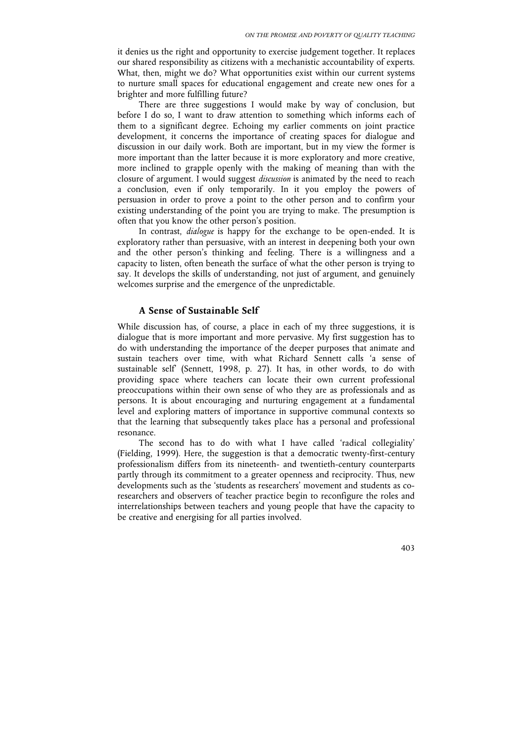it denies us the right and opportunity to exercise judgement together. It replaces our shared responsibility as citizens with a mechanistic accountability of experts. What, then, might we do? What opportunities exist within our current systems to nurture small spaces for educational engagement and create new ones for a brighter and more fulfilling future?

There are three suggestions I would make by way of conclusion, but before I do so, I want to draw attention to something which informs each of them to a significant degree. Echoing my earlier comments on joint practice development, it concerns the importance of creating spaces for dialogue and discussion in our daily work. Both are important, but in my view the former is more important than the latter because it is more exploratory and more creative, more inclined to grapple openly with the making of meaning than with the closure of argument. I would suggest *discussion* is animated by the need to reach a conclusion, even if only temporarily. In it you employ the powers of persuasion in order to prove a point to the other person and to confirm your existing understanding of the point you are trying to make. The presumption is often that you know the other person's position.

In contrast, *dialogue* is happy for the exchange to be open-ended. It is exploratory rather than persuasive, with an interest in deepening both your own and the other person's thinking and feeling. There is a willingness and a capacity to listen, often beneath the surface of what the other person is trying to say. It develops the skills of understanding, not just of argument, and genuinely welcomes surprise and the emergence of the unpredictable.

#### **A Sense of Sustainable Self**

While discussion has, of course, a place in each of my three suggestions, it is dialogue that is more important and more pervasive. My first suggestion has to do with understanding the importance of the deeper purposes that animate and sustain teachers over time, with what Richard Sennett calls 'a sense of sustainable self' (Sennett, 1998, p. 27). It has, in other words, to do with providing space where teachers can locate their own current professional preoccupations within their own sense of who they are as professionals and as persons. It is about encouraging and nurturing engagement at a fundamental level and exploring matters of importance in supportive communal contexts so that the learning that subsequently takes place has a personal and professional resonance.

The second has to do with what I have called 'radical collegiality' (Fielding, 1999). Here, the suggestion is that a democratic twenty-first-century professionalism differs from its nineteenth- and twentieth-century counterparts partly through its commitment to a greater openness and reciprocity. Thus, new developments such as the 'students as researchers' movement and students as coresearchers and observers of teacher practice begin to reconfigure the roles and interrelationships between teachers and young people that have the capacity to be creative and energising for all parties involved.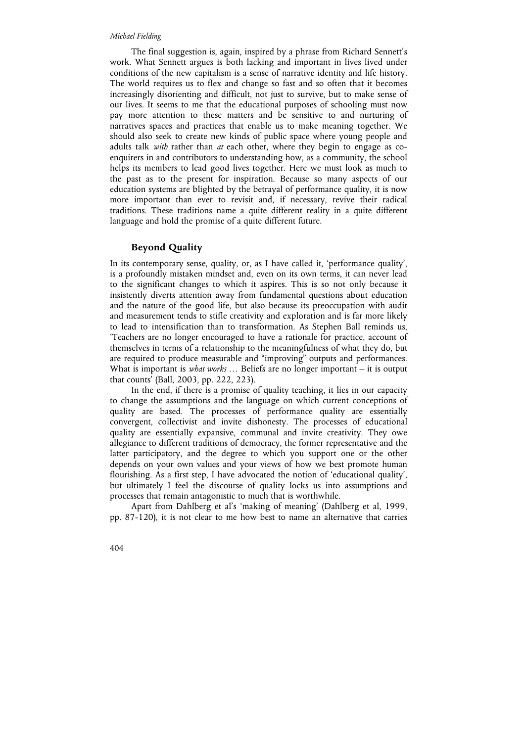The final suggestion is, again, inspired by a phrase from Richard Sennett's work. What Sennett argues is both lacking and important in lives lived under conditions of the new capitalism is a sense of narrative identity and life history. The world requires us to flex and change so fast and so often that it becomes increasingly disorienting and difficult, not just to survive, but to make sense of our lives. It seems to me that the educational purposes of schooling must now pay more attention to these matters and be sensitive to and nurturing of narratives spaces and practices that enable us to make meaning together. We should also seek to create new kinds of public space where young people and adults talk *with* rather than *at* each other, where they begin to engage as coenquirers in and contributors to understanding how, as a community, the school helps its members to lead good lives together. Here we must look as much to the past as to the present for inspiration. Because so many aspects of our education systems are blighted by the betrayal of performance quality, it is now more important than ever to revisit and, if necessary, revive their radical traditions. These traditions name a quite different reality in a quite different language and hold the promise of a quite different future.

## **Beyond Quality**

In its contemporary sense, quality, or, as I have called it, 'performance quality', is a profoundly mistaken mindset and, even on its own terms, it can never lead to the significant changes to which it aspires. This is so not only because it insistently diverts attention away from fundamental questions about education and the nature of the good life, but also because its preoccupation with audit and measurement tends to stifle creativity and exploration and is far more likely to lead to intensification than to transformation. As Stephen Ball reminds us, 'Teachers are no longer encouraged to have a rationale for practice, account of themselves in terms of a relationship to the meaningfulness of what they do, but are required to produce measurable and "improving" outputs and performances. What is important is *what works* … Beliefs are no longer important – it is output that counts' (Ball, 2003, pp. 222, 223).

In the end, if there is a promise of quality teaching, it lies in our capacity to change the assumptions and the language on which current conceptions of quality are based. The processes of performance quality are essentially convergent, collectivist and invite dishonesty. The processes of educational quality are essentially expansive, communal and invite creativity. They owe allegiance to different traditions of democracy, the former representative and the latter participatory, and the degree to which you support one or the other depends on your own values and your views of how we best promote human flourishing. As a first step, I have advocated the notion of 'educational quality', but ultimately I feel the discourse of quality locks us into assumptions and processes that remain antagonistic to much that is worthwhile.

Apart from Dahlberg et al's 'making of meaning' (Dahlberg et al, 1999, pp. 87-120), it is not clear to me how best to name an alternative that carries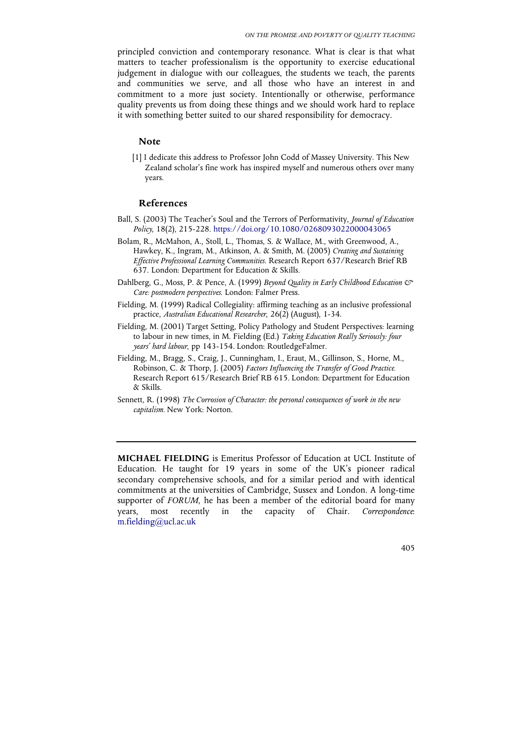principled conviction and contemporary resonance. What is clear is that what matters to teacher professionalism is the opportunity to exercise educational judgement in dialogue with our colleagues, the students we teach, the parents and communities we serve, and all those who have an interest in and commitment to a more just society. Intentionally or otherwise, performance quality prevents us from doing these things and we should work hard to replace it with something better suited to our shared responsibility for democracy.

# **Note**

[1] I dedicate this address to Professor John Codd of Massey University. This New Zealand scholar's fine work has inspired myself and numerous others over many years.

## **References**

- Ball, S. (2003) The Teacher's Soul and the Terrors of Performativity, *Journal of Education Policy*, 18(2), 215-228. https://doi.org/10.1080/0268093022000043065
- Bolam, R., McMahon, A., Stoll, L., Thomas, S. & Wallace, M., with Greenwood, A., Hawkey, K., Ingram, M., Atkinson, A. & Smith, M. (2005) *Creating and Sustaining Effective Professional Learning Communities*. Research Report 637/Research Brief RB 637. London: Department for Education & Skills.
- Dahlberg, G., Moss, P. & Pence, A. (1999) *Beyond Quality in Early Childhood Education & Care: postmodern perspectives*. London: Falmer Press.
- Fielding, M. (1999) Radical Collegiality: affirming teaching as an inclusive professional practice, *Australian Educational Researcher*, 26(2) (August), 1-34.
- Fielding, M. (2001) Target Setting, Policy Pathology and Student Perspectives: learning to labour in new times, in M. Fielding (Ed.) *Taking Education Really Seriously: four years' hard labour*, pp 143-154. London: RoutledgeFalmer.
- Fielding, M., Bragg, S., Craig, J., Cunningham, I., Eraut, M., Gillinson, S., Horne, M., Robinson, C. & Thorp, J. (2005) *Factors Influencing the Transfer of Good Practice.* Research Report 615/Research Brief RB 615. London: Department for Education & Skills.
- Sennett, R. (1998) *The Corrosion of Character: the personal consequences of work in the new capitalism.* New York: Norton.

**MICHAEL FIELDING** is Emeritus Professor of Education at UCL Institute of Education. He taught for 19 years in some of the UK's pioneer radical secondary comprehensive schools, and for a similar period and with identical commitments at the universities of Cambridge, Sussex and London. A long-time supporter of *FORUM*, he has been a member of the editorial board for many years, most recently in the capacity of Chair. *Correspondence*: m.fielding@ucl.ac.uk